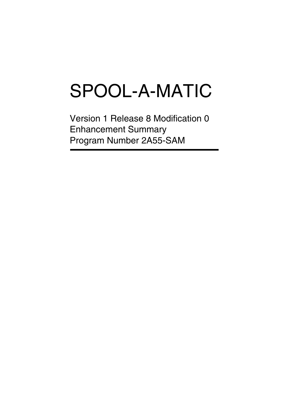# SPOOL-A-MATIC

Version 1 Release 8 Modification 0 Enhancement Summary Program Number 2A55-SAM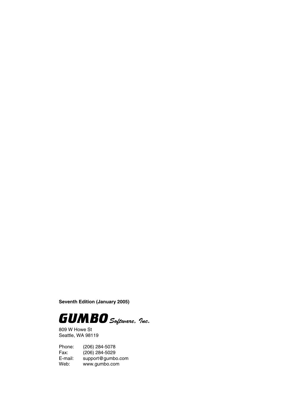**Seventh Edition (January 2005)**



809 W Howe St Seattle, WA 98119

Phone: (206) 284-5078 Fax: (206) 284-5029<br>E-mail: support@gumb E-mail: support@gumbo.com<br>Web: www.gumbo.com www.gumbo.com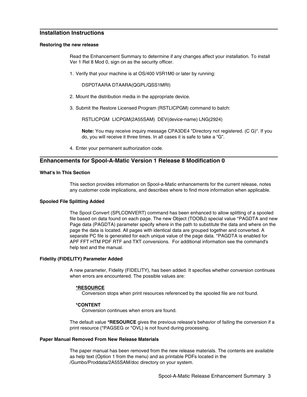# **Installation Instructions**

## **Restoring the new release**

Read the Enhancement Summary to determine if any changes affect your installation. To install Ver 1 Rel 8 Mod 0, sign on as the security officer.

1. Verify that your machine is at OS/400 V5R1M0 or later by running:

DSPDTAARA DTAARA(QGPL/QSS1MRI)

- 2. Mount the distribution media in the appropriate device.
- 3. Submit the Restore Licensed Program (RSTLICPGM) command to batch:

RSTLICPGM LICPGM(2A55SAM) DEV(device-name) LNG(2924)

**Note:** You may receive inquiry message CPA3DE4 "Directory not registered. (C G)". If you do, you will receive it three times. In all cases it is safe to take a "G".

4. Enter your permanent authorization code.

# **Enhancements for Spool-A-Matic Version 1 Release 8 Modification 0**

#### **What's In This Section**

This section provides information on Spool-a-Matic enhancements for the current release, notes any customer code implications, and describes where to find more information when applicable.

# **Spooled File Splitting Added**

The Spool Convert (SPLCONVERT) command has been enhanced to allow splitting of a spooled file based on data found on each page. The new Object (TOOBJ) special value \*PAGDTA and new Page data (PAGDTA) parameter specify where in the path to substitute the data and where on the page the data is located. All pages with identical data are grouped together and converted. A separate PC file is generated for each unique value of the page data. \*PAGDTA is enabled for APF FFT HTM PDF RTF and TXT conversions. For additional information see the command's help text and the manual.

# **Fidelity (FIDELITY) Parameter Added**

A new parameter, Fidelity (FIDELITY), has been added. It specifies whether conversion continues when errors are encountered. The possible values are:

# **\*RESOURCE**

Conversion stops when print resources referenced by the spooled file are not found.

# **\*CONTENT**

Conversion continues when errors are found.

The default value **\*RESOURCE** gives the previous release's behavior of failing the conversion if a print resource (\*PAGSEG or \*OVL) is not found during processing.

# **Paper Manual Removed From New Release Materials**

The paper manual has been removed from the new release materials. The contents are available as help text (Option 1 from the menu) and as printable PDFs located in the /Gumbo/Proddata/2A55SAM/doc directory on your system.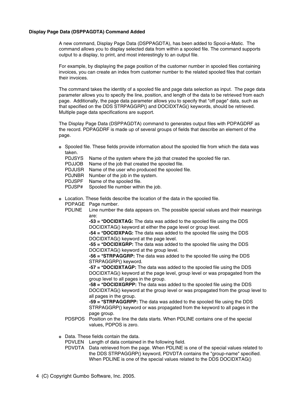# **Display Page Data (DSPPAGDTA) Command Added**

A new command, Display Page Data (DSPPAGDTA), has been added to Spool-a-Matic. The command allows you to display selected data from within a spooled file. The command supports output to a display, to print, and most interestingly to an output file.

For example, by displaying the page position of the customer number in spooled files containing invoices, you can create an index from customer number to the related spooled files that contain their invoices.

The command takes the identity of a spooled file and page data selection as input. The page data parameter allows you to specify the line, position, and length of the data to be retrieved from each page. Additionally, the page data parameter allows you to specify that "off page" data, such as that specified on the DDS STRPAGGRP() and DOCIDXTAG() keywords, should be retrieved. Multiple page data specifications are support.

The Display Page Data (DSPPAGDTA) command to generates output files with PDPAGDRF as the record. PDPAGDRF is made up of several groups of fields that describe an element of the page.

- **o** Spooled file. These fields provide information about the spooled file from which the data was taken.
	- PDJSYS Name of the system where the job that created the spooled file ran.

| <b>I DUCK THAIRS OF LIFE SYSTEM</b> WHERE LIFE JOD THAIR CREATED THE SPOCKED III |
|----------------------------------------------------------------------------------|
| PDJJOB Name of the job that created the spooled file.                            |
| PDJUSR Name of the user who produced the spooled file.                           |
| PDJNBR Number of the job in the system.                                          |
| PDJSPF Name of the spooled file.                                                 |
| PDJSP# Spooled file number within the job.                                       |

- **o** Location. These fields describe the location of the data in the spooled file.
	- PDPAGE Page number.
	- PDLINE Line number the data appears on. The possible special values and their meanings are:

**-53 = \*DOCIDXTAG:** The data was added to the spooled file using the DDS DOCIDXTAG() keyword at either the page level or group level.

**-54 = \*DOCIDXPAG:** The data was added to the spooled file using the DDS DOCIDXTAG() keyword at the page level.

**-55 = \*DOCIDXGRP:** The data was added to the spooled file using the DDS DOCIDXTAG() keyword at the group level.

**-56 = \*STRPAGGRP:** The data was added to the spooled file using the DDS STRPAGGRP() keyword.

**-57 = \*DOCIDXTAGP:** The data was added to the spooled file using the DDS DOCIDXTAG() keyword at the page level, group level or was propagated from the group level to all pages in the group.

**-58 = \*DOCIDXGRPP:** The data was added to the spooled file using the DDS DOCIDXTAG() keyword at the group level or was propagated from the group level to all pages in the group.

**-59 = \*STRPAGGRPP:** The data was added to the spooled file using the DDS STRPAGGRP() keyword or was propagated from the keyword to all pages in the page group.

- PDSPOS Position on the line the data starts. When PDLINE contains one of the special values, PDPOS is zero.
- **o** Data. These fields contain the data.

PDVLEN Length of data contained in the following field.

PDVDTA Data retrieved from the page. When PDLINE is one of the special values related to the DDS STRPAGGRP() keyword, PDVDTA contains the "group-name" specified. When PDLINE is one of the special values related to the DDS DOCIDXTAG()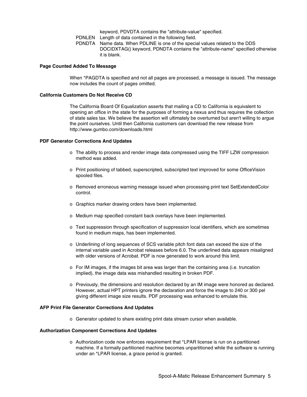keyword, PDVDTA contains the "attribute-value" specified.

PDNLEN Length of data contained in the following field.

PDNDTA Name data. When PDLINE is one of the special values related to the DDS DOCIDXTAG() keyword, PDNDTA contains the "attribute-name" specified otherwise it is blank.

# **Page Counted Added To Message**

When \*PAGDTA is specified and not all pages are processed, a message is issued. The message now includes the count of pages omitted.

#### **California Customers Do Not Receive CD**

The California Board Of Equalization asserts that mailing a CD to California is equivalent to opening an office in the state for the purposes of forming a nexus and thus requires the collection of state sales tax. We believe the assertion will ultimately be overturned but aren't willing to argue the point ourselves. Until then California customers can download the new release from http://www.gumbo.com/downloads.html

#### **PDF Generator Corrections And Updates**

- o The ability to process and render image data compressed using the TIFF LZW compression method was added.
- o Print positioning of tabbed, superscripted, subscripted text improved for some OfficeVision spooled files.
- o Removed erroneous warning message issued when processing print text SetExtendedColor control.
- o Graphics marker drawing orders have been implemented.
- o Medium map specified constant back overlays have been implemented.
- o Text suppression through specification of suppression local identifiers, which are sometimes found in medium maps, has been implemented.
- o Underlining of long sequences of SCS variable pitch font data can exceed the size of the internal variable used in Acrobat releases before 6.0. The underlined data appears misaligned with older versions of Acrobat. PDF is now generated to work around this limit.
- o For IM images, if the images bit area was larger than the containing area (i.e. truncation implied), the image data was mishandled resulting in broken PDF.
- o Previously, the dimensions and resolution declared by an IM image were honored as declared. However, actual HPT printers ignore the declaration and force the image to 240 or 300 pel giving different image size results. PDF processing was enhanced to emulate this.

#### **AFP Print File Generator Corrections And Updates**

o Generator updated to share existing print data stream cursor when available.

# **Authorization Component Corrections And Updates**

o Authorization code now enforces requirement that \*LPAR license is run on a partitioned machine. If a formally partitioned machine becomes unpartitioned while the software is running under an \*LPAR license, a grace period is granted.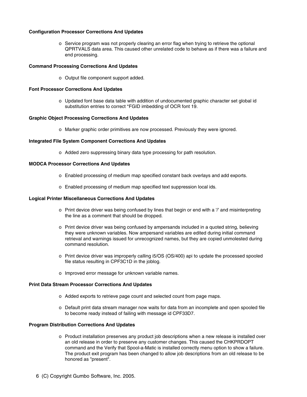# **Configuration Processor Corrections And Updates**

o Service program was not properly clearing an error flag when trying to retrieve the optional QPRTVALS data area. This caused other unrelated code to behave as if there was a failure and end processing.

# **Command Processing Corrections And Updates**

o Output file component support added.

# **Font Processor Corrections And Updates**

o Updated font base data table with addition of undocumented graphic character set global id substitution entries to correct \*FGID imbedding of OCR font 19.

#### **Graphic Object Processing Corrections And Updates**

o Marker graphic order primitives are now processed. Previously they were ignored.

# **Integrated File System Component Corrections And Updates**

o Added zero suppressing binary data type processing for path resolution.

#### **MODCA Processor Corrections And Updates**

- o Enabled processing of medium map specified constant back overlays and add exports.
- o Enabled processing of medium map specified text suppression local ids.

# **Logical Printer Miscellaneous Corrections And Updates**

- o Print device driver was being confused by lines that begin or end with a '/' and misinterpreting the line as a comment that should be dropped.
- o Print device driver was being confused by ampersands included in a quoted string, believing they were unknown variables. Now ampersand variables are edited during initial command retrieval and warnings issued for unrecognized names, but they are copied unmolested during command resolution.
- o Print device driver was improperly calling i5/OS (OS/400) api to update the processed spooled file status resulting in CPF3C1D in the joblog.
- o Improved error message for unknown variable names.

#### **Print Data Stream Processor Corrections And Updates**

- o Added exports to retrieve page count and selected count from page maps.
- o Default print data stream manager now waits for data from an incomplete and open spooled file to become ready instead of failing with message id CPF33D7.

#### **Program Distribution Corrections And Updates**

- o Product installation preserves any product job descriptions when a new release is installed over an old release in order to preserve any customer changes. This caused the CHKPRDOPT command and the Verify that Spool-a-Matic is installed correctly menu option to show a failure. The product exit program has been changed to allow job descriptions from an old release to be honored as "present".
- 6 (C) Copyright Gumbo Software, Inc. 2005.